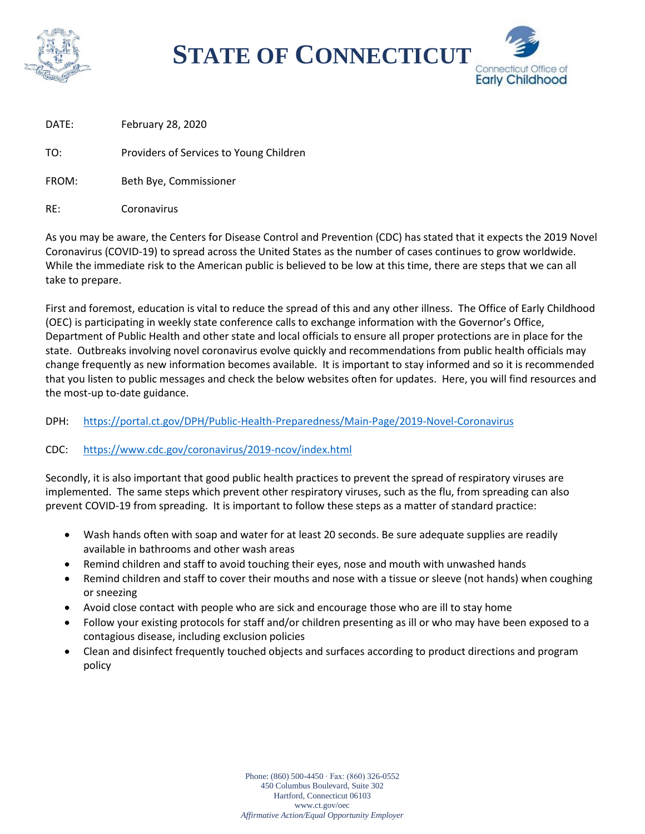

**STATE OF CONNECTICUT**



DATE: February 28, 2020

TO: Providers of Services to Young Children

- FROM: Beth Bye, Commissioner
- RE: Coronavirus

As you may be aware, the Centers for Disease Control and Prevention (CDC) has stated that it expects the 2019 Novel Coronavirus (COVID-19) to spread across the United States as the number of cases continues to grow worldwide. While the immediate risk to the American public is believed to be low at this time, there are steps that we can all take to prepare.

First and foremost, education is vital to reduce the spread of this and any other illness. The Office of Early Childhood (OEC) is participating in weekly state conference calls to exchange information with the Governor's Office, Department of Public Health and other state and local officials to ensure all proper protections are in place for the state. Outbreaks involving novel coronavirus evolve quickly and recommendations from public health officials may change frequently as new information becomes available. It is important to stay informed and so it is recommended that you listen to public messages and check the below websites often for updates. Here, you will find resources and the most-up to-date guidance.

## DPH: <https://portal.ct.gov/DPH/Public-Health-Preparedness/Main-Page/2019-Novel-Coronavirus>

## CDC: <https://www.cdc.gov/coronavirus/2019-ncov/index.html>

Secondly, it is also important that good public health practices to prevent the spread of respiratory viruses are implemented. The same steps which prevent other respiratory viruses, such as the flu, from spreading can also prevent COVID-19 from spreading. It is important to follow these steps as a matter of standard practice:

- Wash hands often with soap and water for at least 20 seconds. Be sure adequate supplies are readily available in bathrooms and other wash areas
- Remind children and staff to avoid touching their eyes, nose and mouth with unwashed hands
- Remind children and staff to cover their mouths and nose with a tissue or sleeve (not hands) when coughing or sneezing
- Avoid close contact with people who are sick and encourage those who are ill to stay home
- Follow your existing protocols for staff and/or children presenting as ill or who may have been exposed to a contagious disease, including exclusion policies
- Clean and disinfect frequently touched objects and surfaces according to product directions and program policy